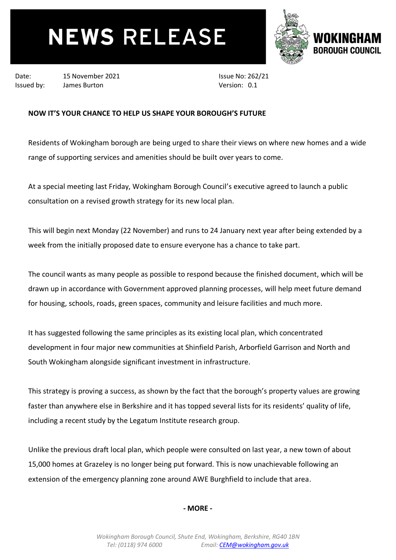# **NEWS RELEASE**



Date: 15 November 2021 Issued by: James Burton

Issue No: 262/21 Version: 0.1

## **NOW IT'S YOUR CHANCE TO HELP US SHAPE YOUR BOROUGH'S FUTURE**

Residents of Wokingham borough are being urged to share their views on where new homes and a wide range of supporting services and amenities should be built over years to come.

At a special meeting last Friday, Wokingham Borough Council's executive agreed to launch a public consultation on a revised growth strategy for its new local plan.

This will begin next Monday (22 November) and runs to 24 January next year after being extended by a week from the initially proposed date to ensure everyone has a chance to take part.

The council wants as many people as possible to respond because the finished document, which will be drawn up in accordance with Government approved planning processes, will help meet future demand for housing, schools, roads, green spaces, community and leisure facilities and much more.

It has suggested following the same principles as its existing local plan, which concentrated development in four major new communities at Shinfield Parish, Arborfield Garrison and North and South Wokingham alongside significant investment in infrastructure.

This strategy is proving a success, as shown by the fact that the borough's property values are growing faster than anywhere else in Berkshire and it has topped several lists for its residents' quality of life, including a recent study by the Legatum Institute research group.

Unlike the previous draft local plan, which people were consulted on last year, a new town of about 15,000 homes at Grazeley is no longer being put forward. This is now unachievable following an extension of the emergency planning zone around AWE Burghfield to include that area.

## **- MORE -**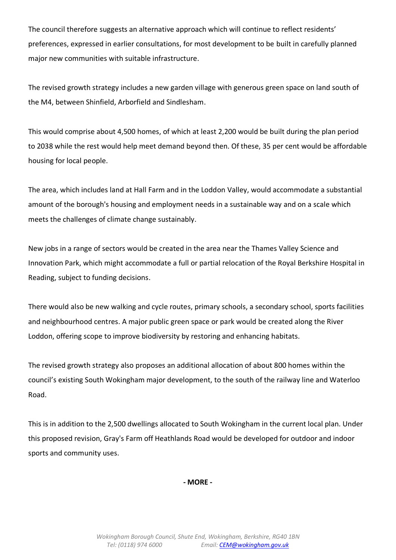The council therefore suggests an alternative approach which will continue to reflect residents' preferences, expressed in earlier consultations, for most development to be built in carefully planned major new communities with suitable infrastructure.

The revised growth strategy includes a new garden village with generous green space on land south of the M4, between Shinfield, Arborfield and Sindlesham.

This would comprise about 4,500 homes, of which at least 2,200 would be built during the plan period to 2038 while the rest would help meet demand beyond then. Of these, 35 per cent would be affordable housing for local people.

The area, which includes land at Hall Farm and in the Loddon Valley, would accommodate a substantial amount of the borough's housing and employment needs in a sustainable way and on a scale which meets the challenges of climate change sustainably.

New jobs in a range of sectors would be created in the area near the Thames Valley Science and Innovation Park, which might accommodate a full or partial relocation of the Royal Berkshire Hospital in Reading, subject to funding decisions.

There would also be new walking and cycle routes, primary schools, a secondary school, sports facilities and neighbourhood centres. A major public green space or park would be created along the River Loddon, offering scope to improve biodiversity by restoring and enhancing habitats.

The revised growth strategy also proposes an additional allocation of about 800 homes within the council's existing South Wokingham major development, to the south of the railway line and Waterloo Road.

This is in addition to the 2,500 dwellings allocated to South Wokingham in the current local plan. Under this proposed revision, Gray's Farm off Heathlands Road would be developed for outdoor and indoor sports and community uses.

**- MORE -**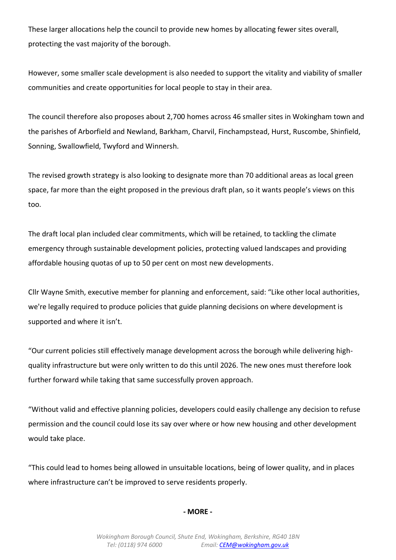These larger allocations help the council to provide new homes by allocating fewer sites overall, protecting the vast majority of the borough.

However, some smaller scale development is also needed to support the vitality and viability of smaller communities and create opportunities for local people to stay in their area.

The council therefore also proposes about 2,700 homes across 46 smaller sites in Wokingham town and the parishes of Arborfield and Newland, Barkham, Charvil, Finchampstead, Hurst, Ruscombe, Shinfield, Sonning, Swallowfield, Twyford and Winnersh.

The revised growth strategy is also looking to designate more than 70 additional areas as local green space, far more than the eight proposed in the previous draft plan, so it wants people's views on this too.

The draft local plan included clear commitments, which will be retained, to tackling the climate emergency through sustainable development policies, protecting valued landscapes and providing affordable housing quotas of up to 50 per cent on most new developments.

Cllr Wayne Smith, executive member for planning and enforcement, said: "Like other local authorities, we're legally required to produce policies that guide planning decisions on where development is supported and where it isn't.

"Our current policies still effectively manage development across the borough while delivering highquality infrastructure but were only written to do this until 2026. The new ones must therefore look further forward while taking that same successfully proven approach.

"Without valid and effective planning policies, developers could easily challenge any decision to refuse permission and the council could lose its say over where or how new housing and other development would take place.

"This could lead to homes being allowed in unsuitable locations, being of lower quality, and in places where infrastructure can't be improved to serve residents properly.

### **- MORE -**